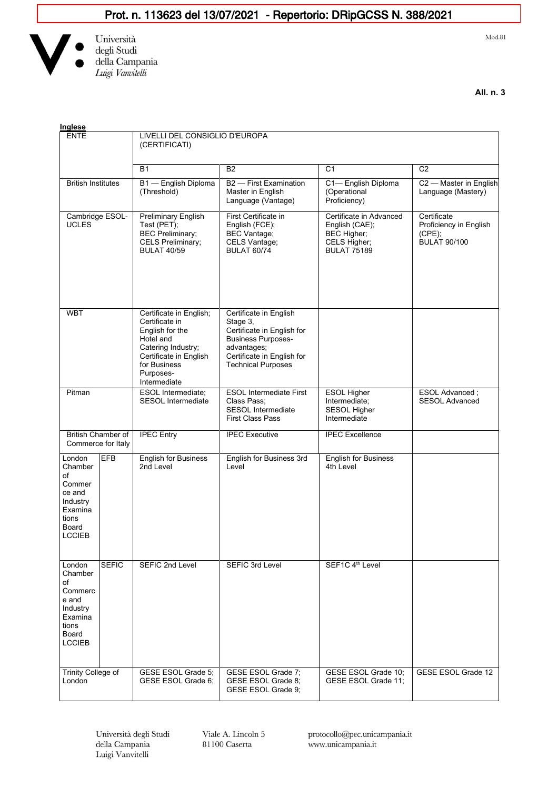## Prot. n. 113623 del 13/07/2021 - Repertorio: DRipGCSS N. 388/2021



Università<br>degli Studi<br>della Campania Luigi Vanvitelli

 $Mod.81$ 

**All. n. 3**

| Inglese                                                                                                                                                                                                                                                                                                       |                                                                                                                                                                        |                                                                                                                                                                         |                                                                                                |                                                                           |  |
|---------------------------------------------------------------------------------------------------------------------------------------------------------------------------------------------------------------------------------------------------------------------------------------------------------------|------------------------------------------------------------------------------------------------------------------------------------------------------------------------|-------------------------------------------------------------------------------------------------------------------------------------------------------------------------|------------------------------------------------------------------------------------------------|---------------------------------------------------------------------------|--|
| <b>ENTE</b>                                                                                                                                                                                                                                                                                                   | LIVELLI DEL CONSIGLIO D'EUROPA<br>(CERTIFICATI)                                                                                                                        |                                                                                                                                                                         |                                                                                                |                                                                           |  |
|                                                                                                                                                                                                                                                                                                               | <b>B1</b>                                                                                                                                                              | <b>B2</b>                                                                                                                                                               | C <sub>1</sub>                                                                                 | C <sub>2</sub>                                                            |  |
| <b>British Institutes</b>                                                                                                                                                                                                                                                                                     | B1 - English Diploma<br>(Threshold)                                                                                                                                    | B <sub>2</sub> - First Examination<br>Master in English<br>Language (Vantage)                                                                                           | C1-English Diploma<br>(Operational<br>Proficiency)                                             | C2 - Master in English<br>Language (Mastery)                              |  |
| Cambridge ESOL-<br><b>UCLES</b>                                                                                                                                                                                                                                                                               | <b>Preliminary English</b><br>Test (PET);<br><b>BEC Preliminary;</b><br><b>CELS Preliminary;</b><br><b>BULAT 40/59</b>                                                 | First Certificate in<br>English (FCE);<br><b>BEC Vantage:</b><br>CELS Vantage;<br><b>BULAT 60/74</b>                                                                    | Certificate in Advanced<br>English (CAE);<br>BEC Higher;<br>CELS Higher;<br><b>BULAT 75189</b> | Certificate<br>Proficiency in English<br>$(CPE)$ ;<br><b>BULAT 90/100</b> |  |
| <b>WBT</b>                                                                                                                                                                                                                                                                                                    | Certificate in English;<br>Certificate in<br>English for the<br>Hotel and<br>Catering Industry;<br>Certificate in English<br>for Business<br>Purposes-<br>Intermediate | Certificate in English<br>Stage 3,<br>Certificate in English for<br><b>Business Purposes-</b><br>advantages;<br>Certificate in English for<br><b>Technical Purposes</b> |                                                                                                |                                                                           |  |
| Pitman                                                                                                                                                                                                                                                                                                        | ESOL Intermediate;<br><b>SESOL</b> Intermediate                                                                                                                        | <b>ESOL Intermediate First</b><br>Class Pass;<br><b>SESOL Intermediate</b><br><b>First Class Pass</b>                                                                   | <b>ESOL Higher</b><br>Intermediate;<br><b>SESOL Higher</b><br>Intermediate                     | ESOL Advanced ;<br><b>SESOL Advanced</b>                                  |  |
| <b>British Chamber of</b><br>Commerce for Italy                                                                                                                                                                                                                                                               | <b>IPEC Entry</b>                                                                                                                                                      | <b>IPEC Executive</b>                                                                                                                                                   | <b>IPEC Excellence</b>                                                                         |                                                                           |  |
| <b>EFB</b><br>London<br>Chamber<br>of<br>Commer<br>ce and<br>Industry<br>Examina<br>tions<br>Board<br><b>LCCIEB</b>                                                                                                                                                                                           | <b>English for Business</b><br>2nd Level                                                                                                                               | English for Business 3rd<br>Level                                                                                                                                       | <b>English for Business</b><br>4th Level                                                       |                                                                           |  |
| <b>SEFIC</b><br>London<br>Chamber<br>of<br>Commerc<br>e and<br>Industry<br>Examina<br>tions<br>Board<br>$\mathsf{LCCIEB}\quad% \begin{array}{l}% \begin{array}{c}% \hspace*{12mm}p\rightarrow0\\ \hspace*{12mm}p\rightarrow0\\ \hspace*{12mm}p\rightarrow0\\ \end{array} \end{array} \quad\label{eq:LCCIEB}%$ | SEFIC 2nd Level                                                                                                                                                        | SEFIC 3rd Level                                                                                                                                                         | SEF1C 4th Level                                                                                |                                                                           |  |
| <b>Trinity College of</b><br>London                                                                                                                                                                                                                                                                           | GESE ESOL Grade 5;<br>GESE ESOL Grade 6:                                                                                                                               | GESE ESOL Grade 7;<br>GESE ESOL Grade 8;<br>GESE ESOL Grade 9;                                                                                                          | GESE ESOL Grade 10;<br>GESE ESOL Grade 11;                                                     | <b>GESE ESOL Grade 12</b>                                                 |  |

Università degli Studi della Campania Luigi Vanvitelli

Viale A. Lincoln 5 81100 Caserta

protocollo@pec.unicampania.it www.unicampania.it